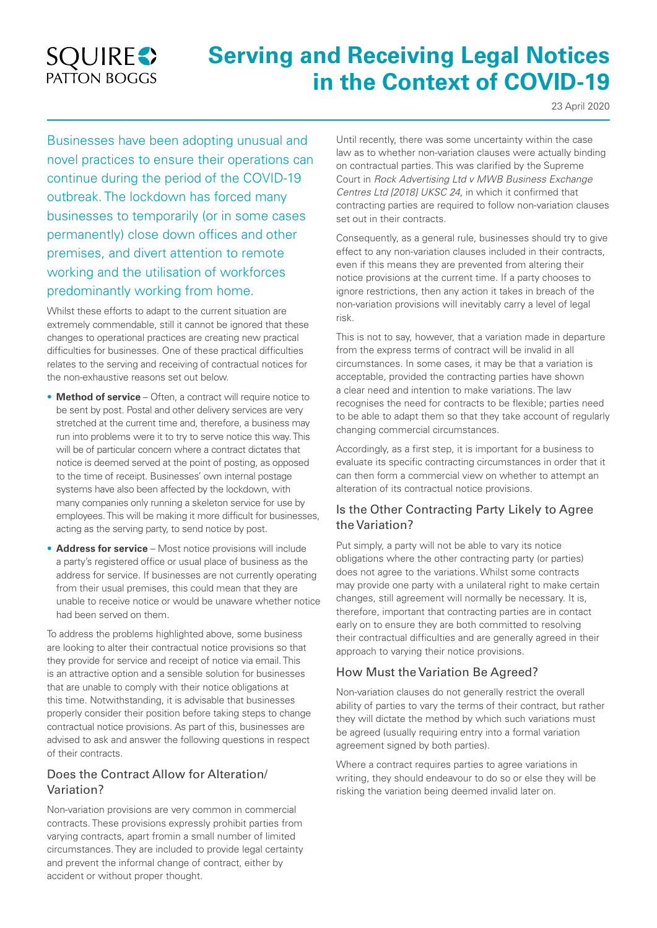## **SQUIRES** PATTON BOGGS

# **Serving and Receiving Legal Notices in the Context of COVID-19**

23 April 2020

Businesses have been adopting unusual and novel practices to ensure their operations can continue during the period of the COVID-19 outbreak. The lockdown has forced many businesses to temporarily (or in some cases permanently) close down offices and other premises, and divert attention to remote working and the utilisation of workforces predominantly working from home.

Whilst these efforts to adapt to the current situation are extremely commendable, still it cannot be ignored that these changes to operational practices are creating new practical difficulties for businesses. One of these practical difficulties relates to the serving and receiving of contractual notices for the non-exhaustive reasons set out below.

- **Method of service** Often, a contract will require notice to be sent by post. Postal and other delivery services are very stretched at the current time and, therefore, a business may run into problems were it to try to serve notice this way. This will be of particular concern where a contract dictates that notice is deemed served at the point of posting, as opposed to the time of receipt. Businesses' own internal postage systems have also been affected by the lockdown, with many companies only running a skeleton service for use by employees. This will be making it more difficult for businesses, acting as the serving party, to send notice by post.
- **Address for service** Most notice provisions will include a party's registered office or usual place of business as the address for service. If businesses are not currently operating from their usual premises, this could mean that they are unable to receive notice or would be unaware whether notice had been served on them.

To address the problems highlighted above, some business are looking to alter their contractual notice provisions so that they provide for service and receipt of notice via email. This is an attractive option and a sensible solution for businesses that are unable to comply with their notice obligations at this time. Notwithstanding, it is advisable that businesses properly consider their position before taking steps to change contractual notice provisions. As part of this, businesses are advised to ask and answer the following questions in respect of their contracts.

## Does the Contract Allow for Alteration/ Variation?

Non-variation provisions are very common in commercial contracts. These provisions expressly prohibit parties from varying contracts, apart fromin a small number of limited circumstances. They are included to provide legal certainty and prevent the informal change of contract, either by accident or without proper thought.

Until recently, there was some uncertainty within the case law as to whether non-variation clauses were actually binding on contractual parties. This was clarified by the Supreme Court in *Rock Advertising Ltd v MWB Business Exchange Centres Ltd [2018] UKSC 24*, in which it confirmed that contracting parties are required to follow non-variation clauses set out in their contracts.

Consequently, as a general rule, businesses should try to give effect to any non-variation clauses included in their contracts, even if this means they are prevented from altering their notice provisions at the current time. If a party chooses to ignore restrictions, then any action it takes in breach of the non-variation provisions will inevitably carry a level of legal risk.

This is not to say, however, that a variation made in departure from the express terms of contract will be invalid in all circumstances. In some cases, it may be that a variation is acceptable, provided the contracting parties have shown a clear need and intention to make variations. The law recognises the need for contracts to be flexible; parties need to be able to adapt them so that they take account of regularly changing commercial circumstances.

Accordingly, as a first step, it is important for a business to evaluate its specific contracting circumstances in order that it can then form a commercial view on whether to attempt an alteration of its contractual notice provisions.

## Is the Other Contracting Party Likely to Agree the Variation?

Put simply, a party will not be able to vary its notice obligations where the other contracting party (or parties) does not agree to the variations. Whilst some contracts may provide one party with a unilateral right to make certain changes, still agreement will normally be necessary. It is, therefore, important that contracting parties are in contact early on to ensure they are both committed to resolving their contractual difficulties and are generally agreed in their approach to varying their notice provisions.

## How Must the Variation Be Agreed?

Non-variation clauses do not generally restrict the overall ability of parties to vary the terms of their contract, but rather they will dictate the method by which such variations must be agreed (usually requiring entry into a formal variation agreement signed by both parties).

Where a contract requires parties to agree variations in writing, they should endeavour to do so or else they will be risking the variation being deemed invalid later on.